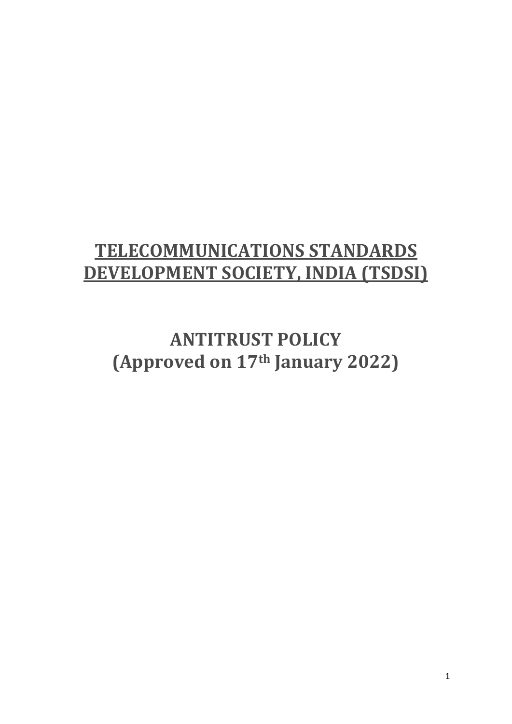## **TELECOMMUNICATIONS STANDARDS DEVELOPMENT SOCIETY, INDIA (TSDSI)**

**ANTITRUST POLICY (Approved on 17th January 2022)**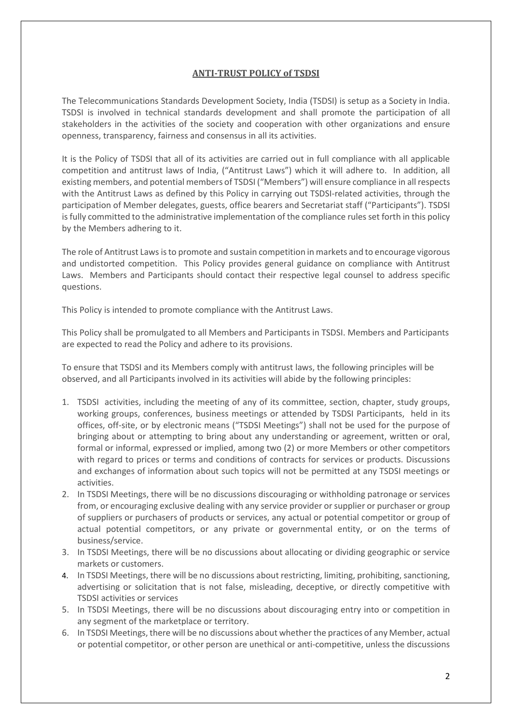## **ANTI-TRUST POLICY of TSDSI**

The Telecommunications Standards Development Society, India (TSDSI) is setup as a Society in India. TSDSI is involved in technical standards development and shall promote the participation of all stakeholders in the activities of the society and cooperation with other organizations and ensure openness, transparency, fairness and consensus in all its activities.

It is the Policy of TSDSI that all of its activities are carried out in full compliance with all applicable competition and antitrust laws of India, ("Antitrust Laws") which it will adhere to. In addition, all existing members, and potential members of TSDSI ("Members") will ensure compliance in all respects with the Antitrust Laws as defined by this Policy in carrying out TSDSI-related activities, through the participation of Member delegates, guests, office bearers and Secretariat staff ("Participants"). TSDSI is fully committed to the administrative implementation of the compliance rules set forth in this policy by the Members adhering to it.

The role of Antitrust Laws is to promote and sustain competition in markets and to encourage vigorous and undistorted competition. This Policy provides general guidance on compliance with Antitrust Laws. Members and Participants should contact their respective legal counsel to address specific questions.

This Policy is intended to promote compliance with the Antitrust Laws.

This Policy shall be promulgated to all Members and Participants in TSDSI. Members and Participants are expected to read the Policy and adhere to its provisions.

To ensure that TSDSI and its Members comply with antitrust laws, the following principles will be observed, and all Participants involved in its activities will abide by the following principles:

- 1. TSDSI activities, including the meeting of any of its committee, section, chapter, study groups, working groups, conferences, business meetings or attended by TSDSI Participants, held in its offices, off-site, or by electronic means ("TSDSI Meetings") shall not be used for the purpose of bringing about or attempting to bring about any understanding or agreement, written or oral, formal or informal, expressed or implied, among two (2) or more Members or other competitors with regard to prices or terms and conditions of contracts for services or products. Discussions and exchanges of information about such topics will not be permitted at any TSDSI meetings or activities.
- 2. In TSDSI Meetings, there will be no discussions discouraging or withholding patronage or services from, or encouraging exclusive dealing with any service provider or supplier or purchaser or group of suppliers or purchasers of products or services, any actual or potential competitor or group of actual potential competitors, or any private or governmental entity, or on the terms of business/service.
- 3. In TSDSI Meetings, there will be no discussions about allocating or dividing geographic or service markets or customers.
- 4. In TSDSI Meetings, there will be no discussions about restricting, limiting, prohibiting, sanctioning, advertising or solicitation that is not false, misleading, deceptive, or directly competitive with TSDSI activities or services
- 5. In TSDSI Meetings, there will be no discussions about discouraging entry into or competition in any segment of the marketplace or territory.
- 6. In TSDSI Meetings, there will be no discussions about whether the practices of any Member, actual or potential competitor, or other person are unethical or anti-competitive, unless the discussions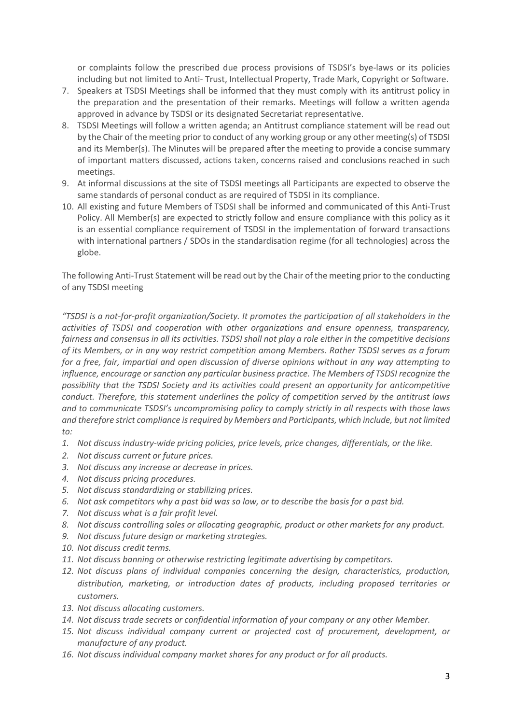or complaints follow the prescribed due process provisions of TSDSI's bye-laws or its policies including but not limited to Anti- Trust, Intellectual Property, Trade Mark, Copyright or Software.

- 7. Speakers at TSDSI Meetings shall be informed that they must comply with its antitrust policy in the preparation and the presentation of their remarks. Meetings will follow a written agenda approved in advance by TSDSI or its designated Secretariat representative.
- 8. TSDSI Meetings will follow a written agenda; an Antitrust compliance statement will be read out by the Chair of the meeting prior to conduct of any working group or any other meeting(s) of TSDSI and its Member(s). The Minutes will be prepared after the meeting to provide a concise summary of important matters discussed, actions taken, concerns raised and conclusions reached in such meetings.
- 9. At informal discussions at the site of TSDSI meetings all Participants are expected to observe the same standards of personal conduct as are required of TSDSI in its compliance.
- 10. All existing and future Members of TSDSI shall be informed and communicated of this Anti-Trust Policy. All Member(s) are expected to strictly follow and ensure compliance with this policy as it is an essential compliance requirement of TSDSI in the implementation of forward transactions with international partners / SDOs in the standardisation regime (for all technologies) across the globe.

The following Anti-Trust Statement will be read out by the Chair of the meeting prior to the conducting of any TSDSI meeting

*"TSDSI is a not-for-profit organization/Society. It promotes the participation of all stakeholders in the activities of TSDSI and cooperation with other organizations and ensure openness, transparency, fairness and consensus in all its activities. TSDSI shall not play a role either in the competitive decisions of its Members, or in any way restrict competition among Members. Rather TSDSI serves as a forum for a free, fair, impartial and open discussion of diverse opinions without in any way attempting to influence, encourage or sanction any particular business practice. The Members of TSDSI recognize the possibility that the TSDSI Society and its activities could present an opportunity for anticompetitive conduct. Therefore, this statement underlines the policy of competition served by the antitrust laws and to communicate TSDSI's uncompromising policy to comply strictly in all respects with those laws and therefore strict compliance is required by Members and Participants, which include, but not limited to:*

- *1. Not discuss industry-wide pricing policies, price levels, price changes, differentials, or the like.*
- *2. Not discuss current or future prices.*
- *3. Not discuss any increase or decrease in prices.*
- *4. Not discuss pricing procedures.*
- *5. Not discuss standardizing or stabilizing prices.*
- *6. Not ask competitors why a past bid was so low, or to describe the basis for a past bid.*
- *7. Not discuss what is a fair profit level.*
- *8. Not discuss controlling sales or allocating geographic, product or other markets for any product.*
- *9. Not discuss future design or marketing strategies.*
- *10. Not discuss credit terms.*
- *11. Not discuss banning or otherwise restricting legitimate advertising by competitors.*
- *12. Not discuss plans of individual companies concerning the design, characteristics, production, distribution, marketing, or introduction dates of products, including proposed territories or customers.*
- *13. Not discuss allocating customers.*
- *14. Not discuss trade secrets or confidential information of your company or any other Member.*
- *15. Not discuss individual company current or projected cost of procurement, development, or manufacture of any product.*
- *16. Not discuss individual company market shares for any product or for all products.*